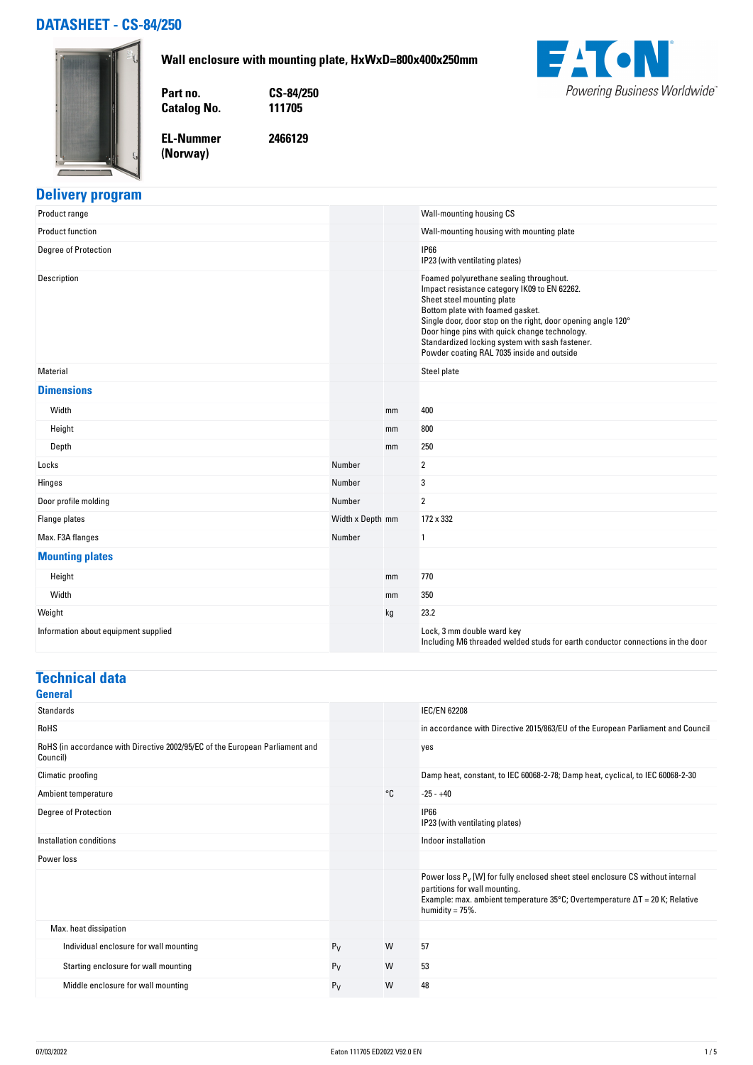# **DATASHEET - CS-84/250**





**Part no. CS-84/250 Catalog No.** 

**EL-Nummer 2466129**

**(Norway)** 



# **Delivery program**

| Product range                        |                  |    | Wall-mounting housing CS                                                                                                                                                                                                                                                                                                                                                    |
|--------------------------------------|------------------|----|-----------------------------------------------------------------------------------------------------------------------------------------------------------------------------------------------------------------------------------------------------------------------------------------------------------------------------------------------------------------------------|
| <b>Product function</b>              |                  |    | Wall-mounting housing with mounting plate                                                                                                                                                                                                                                                                                                                                   |
| <b>Degree of Protection</b>          |                  |    | <b>IP66</b><br>IP23 (with ventilating plates)                                                                                                                                                                                                                                                                                                                               |
| Description                          |                  |    | Foamed polyurethane sealing throughout.<br>Impact resistance category IK09 to EN 62262.<br>Sheet steel mounting plate<br>Bottom plate with foamed gasket.<br>Single door, door stop on the right, door opening angle 120°<br>Door hinge pins with quick change technology.<br>Standardized locking system with sash fastener.<br>Powder coating RAL 7035 inside and outside |
| Material                             |                  |    | Steel plate                                                                                                                                                                                                                                                                                                                                                                 |
| <b>Dimensions</b>                    |                  |    |                                                                                                                                                                                                                                                                                                                                                                             |
| Width                                |                  | mm | 400                                                                                                                                                                                                                                                                                                                                                                         |
| Height                               |                  | mm | 800                                                                                                                                                                                                                                                                                                                                                                         |
| Depth                                |                  | mm | 250                                                                                                                                                                                                                                                                                                                                                                         |
| Locks                                | Number           |    | 2                                                                                                                                                                                                                                                                                                                                                                           |
| Hinges                               | Number           |    | 3                                                                                                                                                                                                                                                                                                                                                                           |
| Door profile molding                 | Number           |    | $\overline{\mathbf{2}}$                                                                                                                                                                                                                                                                                                                                                     |
| Flange plates                        | Width x Depth mm |    | 172 x 332                                                                                                                                                                                                                                                                                                                                                                   |
| Max. F3A flanges                     | Number           |    | $\mathbf{1}$                                                                                                                                                                                                                                                                                                                                                                |
| <b>Mounting plates</b>               |                  |    |                                                                                                                                                                                                                                                                                                                                                                             |
| Height                               |                  | mm | 770                                                                                                                                                                                                                                                                                                                                                                         |
| Width                                |                  | mm | 350                                                                                                                                                                                                                                                                                                                                                                         |
| Weight                               |                  | kg | 23.2                                                                                                                                                                                                                                                                                                                                                                        |
| Information about equipment supplied |                  |    | Lock, 3 mm double ward key<br>Including M6 threaded welded studs for earth conductor connections in the door                                                                                                                                                                                                                                                                |

### **Technical data**

| <b>General</b>                                                                           |       |    |                                                                                                                                                                                                                                          |
|------------------------------------------------------------------------------------------|-------|----|------------------------------------------------------------------------------------------------------------------------------------------------------------------------------------------------------------------------------------------|
| Standards                                                                                |       |    | <b>IEC/EN 62208</b>                                                                                                                                                                                                                      |
| <b>RoHS</b>                                                                              |       |    | in accordance with Directive 2015/863/EU of the European Parliament and Council                                                                                                                                                          |
| RoHS (in accordance with Directive 2002/95/EC of the European Parliament and<br>Council) |       |    | yes                                                                                                                                                                                                                                      |
| Climatic proofing                                                                        |       |    | Damp heat, constant, to IEC 60068-2-78; Damp heat, cyclical, to IEC 60068-2-30                                                                                                                                                           |
| Ambient temperature                                                                      |       | °C | $-25 - +40$                                                                                                                                                                                                                              |
| Degree of Protection                                                                     |       |    | <b>IP66</b><br>IP23 (with ventilating plates)                                                                                                                                                                                            |
| Installation conditions                                                                  |       |    | Indoor installation                                                                                                                                                                                                                      |
| Power loss                                                                               |       |    |                                                                                                                                                                                                                                          |
|                                                                                          |       |    | Power loss P <sub>v</sub> [W] for fully enclosed sheet steel enclosure CS without internal<br>partitions for wall mounting.<br>Example: max. ambient temperature 35°C; Overtemperature $\Delta T = 20$ K; Relative<br>humidity = $75%$ . |
| Max. heat dissipation                                                                    |       |    |                                                                                                                                                                                                                                          |
| Individual enclosure for wall mounting                                                   | $P_V$ | W  | 57                                                                                                                                                                                                                                       |
| Starting enclosure for wall mounting                                                     | $P_V$ | W  | 53                                                                                                                                                                                                                                       |
| Middle enclosure for wall mounting                                                       | $P_V$ | W  | 48                                                                                                                                                                                                                                       |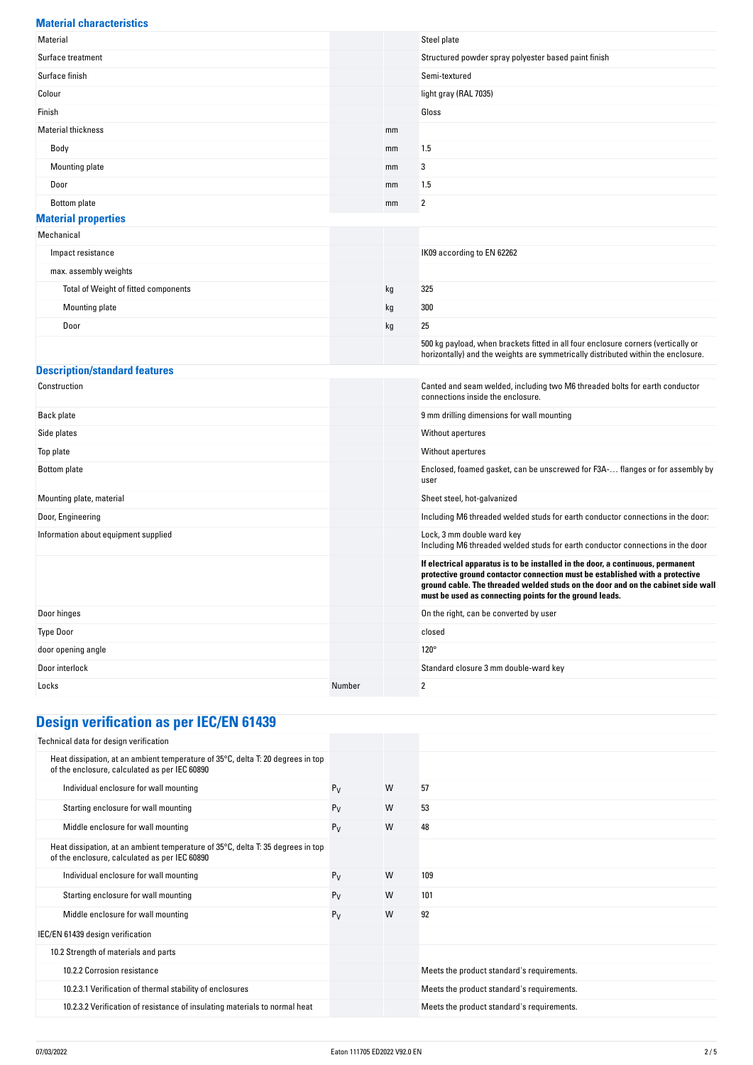| <b>Material characteristics</b>      |        |    |                                                                                                                                                                                                                                                                                                                |
|--------------------------------------|--------|----|----------------------------------------------------------------------------------------------------------------------------------------------------------------------------------------------------------------------------------------------------------------------------------------------------------------|
| Material                             |        |    | Steel plate                                                                                                                                                                                                                                                                                                    |
| Surface treatment                    |        |    | Structured powder spray polyester based paint finish                                                                                                                                                                                                                                                           |
| Surface finish                       |        |    | Semi-textured                                                                                                                                                                                                                                                                                                  |
| Colour                               |        |    | light gray (RAL 7035)                                                                                                                                                                                                                                                                                          |
| Finish                               |        |    | Gloss                                                                                                                                                                                                                                                                                                          |
| <b>Material thickness</b>            |        | mm |                                                                                                                                                                                                                                                                                                                |
| Body                                 |        | mm | 1.5                                                                                                                                                                                                                                                                                                            |
| Mounting plate                       |        | mm | 3                                                                                                                                                                                                                                                                                                              |
| Door                                 |        | mm | 1.5                                                                                                                                                                                                                                                                                                            |
| Bottom plate                         |        | mm | 2                                                                                                                                                                                                                                                                                                              |
| <b>Material properties</b>           |        |    |                                                                                                                                                                                                                                                                                                                |
| Mechanical                           |        |    |                                                                                                                                                                                                                                                                                                                |
| Impact resistance                    |        |    | IK09 according to EN 62262                                                                                                                                                                                                                                                                                     |
| max. assembly weights                |        |    |                                                                                                                                                                                                                                                                                                                |
| Total of Weight of fitted components |        | kg | 325                                                                                                                                                                                                                                                                                                            |
| <b>Mounting plate</b>                |        | kg | 300                                                                                                                                                                                                                                                                                                            |
| Door                                 |        | kg | 25                                                                                                                                                                                                                                                                                                             |
|                                      |        |    | 500 kg payload, when brackets fitted in all four enclosure corners (vertically or<br>horizontally) and the weights are symmetrically distributed within the enclosure.                                                                                                                                         |
| <b>Description/standard features</b> |        |    |                                                                                                                                                                                                                                                                                                                |
| Construction                         |        |    | Canted and seam welded, including two M6 threaded bolts for earth conductor<br>connections inside the enclosure.                                                                                                                                                                                               |
| Back plate                           |        |    | 9 mm drilling dimensions for wall mounting                                                                                                                                                                                                                                                                     |
| Side plates                          |        |    | Without apertures                                                                                                                                                                                                                                                                                              |
| Top plate                            |        |    | Without apertures                                                                                                                                                                                                                                                                                              |
| Bottom plate                         |        |    | Enclosed, foamed gasket, can be unscrewed for F3A- flanges or for assembly by<br>user                                                                                                                                                                                                                          |
| Mounting plate, material             |        |    | Sheet steel, hot-galvanized                                                                                                                                                                                                                                                                                    |
| Door, Engineering                    |        |    | Including M6 threaded welded studs for earth conductor connections in the door:                                                                                                                                                                                                                                |
| Information about equipment supplied |        |    | Lock, 3 mm double ward key<br>Including M6 threaded welded studs for earth conductor connections in the door                                                                                                                                                                                                   |
|                                      |        |    | If electrical apparatus is to be installed in the door, a continuous, permanent<br>protective ground contactor connection must be established with a protective<br>ground cable. The threaded welded studs on the door and on the cabinet side wall<br>must be used as connecting points for the ground leads. |
| Door hinges                          |        |    | On the right, can be converted by user                                                                                                                                                                                                                                                                         |
| <b>Type Door</b>                     |        |    | closed                                                                                                                                                                                                                                                                                                         |
| door opening angle                   |        |    | $120^\circ$                                                                                                                                                                                                                                                                                                    |
| Door interlock                       |        |    | Standard closure 3 mm double-ward key                                                                                                                                                                                                                                                                          |
| Locks                                | Number |    | 2                                                                                                                                                                                                                                                                                                              |

# **Design verification as per IEC/EN 61439**

| Technical data for design verification                                                                                           |       |   |                                            |
|----------------------------------------------------------------------------------------------------------------------------------|-------|---|--------------------------------------------|
| Heat dissipation, at an ambient temperature of 35°C, delta T: 20 degrees in top<br>of the enclosure, calculated as per IEC 60890 |       |   |                                            |
| Individual enclosure for wall mounting                                                                                           | $P_V$ | W | 57                                         |
| Starting enclosure for wall mounting                                                                                             | $P_V$ | W | 53                                         |
| Middle enclosure for wall mounting                                                                                               | $P_V$ | W | 48                                         |
| Heat dissipation, at an ambient temperature of 35°C, delta T: 35 degrees in top<br>of the enclosure, calculated as per IEC 60890 |       |   |                                            |
| Individual enclosure for wall mounting                                                                                           | $P_V$ | W | 109                                        |
| Starting enclosure for wall mounting                                                                                             | $P_V$ | W | 101                                        |
| Middle enclosure for wall mounting                                                                                               | $P_V$ | W | 92                                         |
| IEC/EN 61439 design verification                                                                                                 |       |   |                                            |
| 10.2 Strength of materials and parts                                                                                             |       |   |                                            |
| 10.2.2 Corrosion resistance                                                                                                      |       |   | Meets the product standard's requirements. |
| 10.2.3.1 Verification of thermal stability of enclosures                                                                         |       |   | Meets the product standard's requirements. |
| 10.2.3.2 Verification of resistance of insulating materials to normal heat                                                       |       |   | Meets the product standard's requirements. |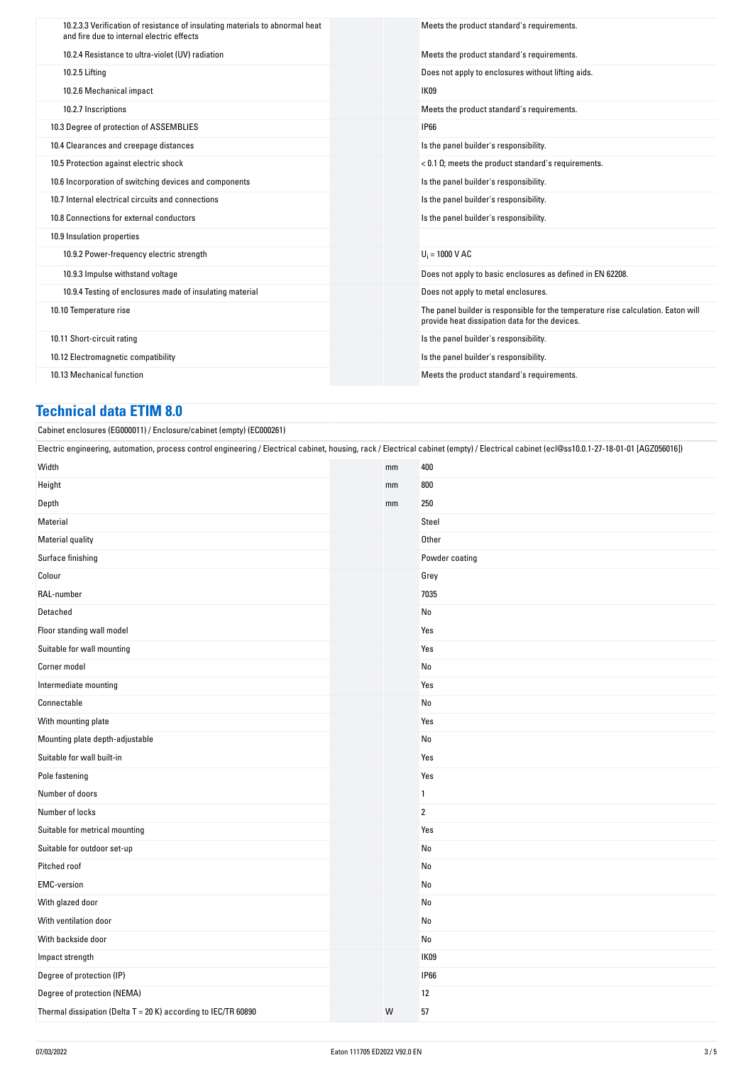| 10.2.3.3 Verification of resistance of insulating materials to abnormal heat<br>and fire due to internal electric effects | Meets the product standard's requirements.                                                                                          |
|---------------------------------------------------------------------------------------------------------------------------|-------------------------------------------------------------------------------------------------------------------------------------|
| 10.2.4 Resistance to ultra-violet (UV) radiation                                                                          | Meets the product standard's requirements.                                                                                          |
| 10.2.5 Lifting                                                                                                            | Does not apply to enclosures without lifting aids.                                                                                  |
| 10.2.6 Mechanical impact                                                                                                  | IK09                                                                                                                                |
| 10.2.7 Inscriptions                                                                                                       | Meets the product standard's requirements.                                                                                          |
| 10.3 Degree of protection of ASSEMBLIES                                                                                   | <b>IP66</b>                                                                                                                         |
| 10.4 Clearances and creepage distances                                                                                    | Is the panel builder's responsibility.                                                                                              |
| 10.5 Protection against electric shock                                                                                    | $< 0.1 \Omega$ ; meets the product standard's requirements.                                                                         |
| 10.6 Incorporation of switching devices and components                                                                    | Is the panel builder's responsibility.                                                                                              |
| 10.7 Internal electrical circuits and connections                                                                         | Is the panel builder's responsibility.                                                                                              |
| 10.8 Connections for external conductors                                                                                  | Is the panel builder's responsibility.                                                                                              |
| 10.9 Insulation properties                                                                                                |                                                                                                                                     |
| 10.9.2 Power-frequency electric strength                                                                                  | $U_i = 1000 V AC$                                                                                                                   |
| 10.9.3 Impulse withstand voltage                                                                                          | Does not apply to basic enclosures as defined in EN 62208.                                                                          |
| 10.9.4 Testing of enclosures made of insulating material                                                                  | Does not apply to metal enclosures.                                                                                                 |
| 10.10 Temperature rise                                                                                                    | The panel builder is responsible for the temperature rise calculation. Eaton will<br>provide heat dissipation data for the devices. |
| 10.11 Short-circuit rating                                                                                                | Is the panel builder's responsibility.                                                                                              |
| 10.12 Electromagnetic compatibility                                                                                       | Is the panel builder's responsibility.                                                                                              |
| 10.13 Mechanical function                                                                                                 | Meets the product standard's requirements.                                                                                          |

#### **Technical data ETIM 8.0**

Cabinet enclosures (EG000011) / Enclosure/cabinet (empty) (EC000261)

Electric engineering, automation, process control engineering / Electrical cabinet, housing, rack / Electrical cabinet (empty) / Electrical cabinet (ecl@ss10.0.1-27-18-01-01 [AGZ056016])

| width                                                          | mm | 4UU            |
|----------------------------------------------------------------|----|----------------|
| Height                                                         | mm | 800            |
| Depth                                                          | mm | 250            |
| Material                                                       |    | Steel          |
| Material quality                                               |    | Other          |
| Surface finishing                                              |    | Powder coating |
| Colour                                                         |    | Grey           |
| RAL-number                                                     |    | 7035           |
| Detached                                                       |    | No             |
| Floor standing wall model                                      |    | Yes            |
| Suitable for wall mounting                                     |    | Yes            |
| Corner model                                                   |    | No             |
| Intermediate mounting                                          |    | Yes            |
| Connectable                                                    |    | No             |
| With mounting plate                                            |    | Yes            |
| Mounting plate depth-adjustable                                |    | No             |
| Suitable for wall built-in                                     |    | Yes            |
| Pole fastening                                                 |    | Yes            |
| Number of doors                                                |    | $\mathbf{1}$   |
| Number of locks                                                |    | $\overline{2}$ |
| Suitable for metrical mounting                                 |    | Yes            |
| Suitable for outdoor set-up                                    |    | No             |
| Pitched roof                                                   |    | No             |
| <b>EMC-version</b>                                             |    | No             |
| With glazed door                                               |    | No             |
| With ventilation door                                          |    | No             |
| With backside door                                             |    | No             |
| Impact strength                                                |    | IK09           |
| Degree of protection (IP)                                      |    | <b>IP66</b>    |
| Degree of protection (NEMA)                                    |    | 12             |
| Thermal dissipation (Delta T = 20 K) according to IEC/TR 60890 | W  | 57             |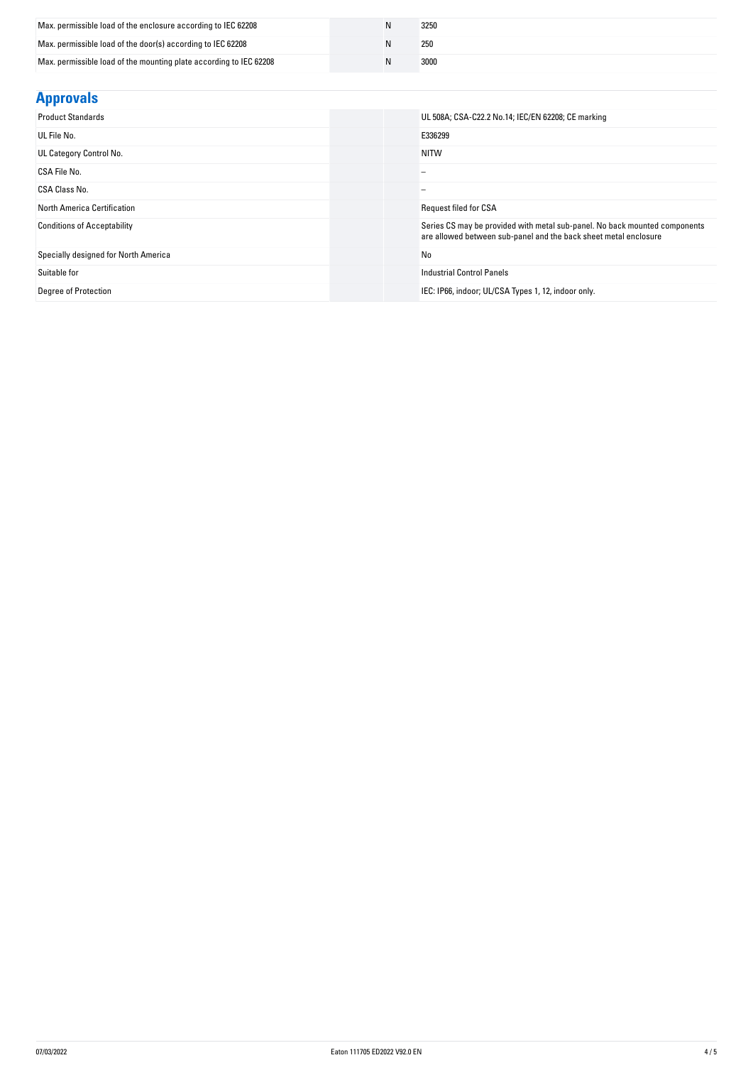| Max. permissible load of the enclosure according to IEC 62208      | 3250 |
|--------------------------------------------------------------------|------|
| Max. permissible load of the door(s) according to IEC 62208        | 250  |
| Max. permissible load of the mounting plate according to IEC 62208 | 3000 |

| <b>Approvals</b>                     |                                                                                                                                                |
|--------------------------------------|------------------------------------------------------------------------------------------------------------------------------------------------|
| <b>Product Standards</b>             | UL 508A; CSA-C22.2 No.14; IEC/EN 62208; CE marking                                                                                             |
| UL File No.                          | E336299                                                                                                                                        |
| UL Category Control No.              | <b>NITW</b>                                                                                                                                    |
| CSA File No.                         | -                                                                                                                                              |
| CSA Class No.                        |                                                                                                                                                |
| <b>North America Certification</b>   | <b>Request filed for CSA</b>                                                                                                                   |
| <b>Conditions of Acceptability</b>   | Series CS may be provided with metal sub-panel. No back mounted components<br>are allowed between sub-panel and the back sheet metal enclosure |
| Specially designed for North America | No                                                                                                                                             |
| Suitable for                         | <b>Industrial Control Panels</b>                                                                                                               |
| Degree of Protection                 | IEC: IP66, indoor; UL/CSA Types 1, 12, indoor only.                                                                                            |